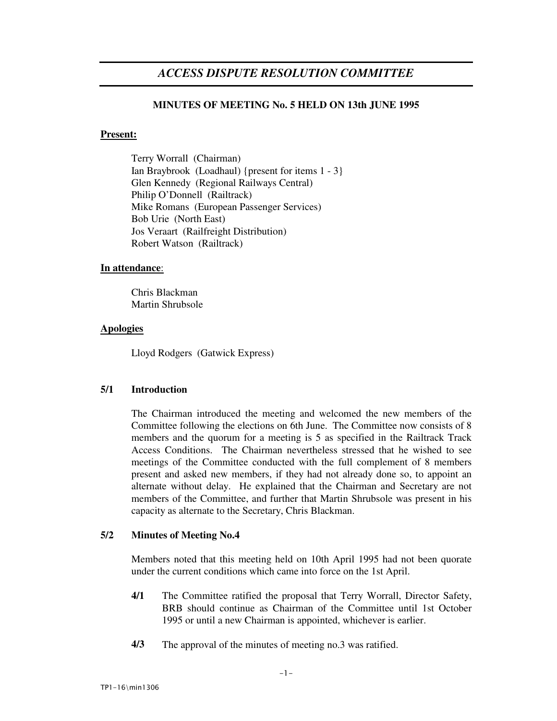# *ACCESS DISPUTE RESOLUTION COMMITTEE*

# **MINUTES OF MEETING No. 5 HELD ON 13th JUNE 1995**

## **Present:**

Terry Worrall (Chairman) Ian Braybrook (Loadhaul) {present for items 1 - 3} Glen Kennedy (Regional Railways Central) Philip O'Donnell (Railtrack) Mike Romans (European Passenger Services) Bob Urie (North East) Jos Veraart (Railfreight Distribution) Robert Watson (Railtrack)

## **In attendance**:

Chris Blackman Martin Shrubsole

## **Apologies**

Lloyd Rodgers (Gatwick Express)

## **5/1 Introduction**

The Chairman introduced the meeting and welcomed the new members of the Committee following the elections on 6th June. The Committee now consists of 8 members and the quorum for a meeting is 5 as specified in the Railtrack Track Access Conditions. The Chairman nevertheless stressed that he wished to see meetings of the Committee conducted with the full complement of 8 members present and asked new members, if they had not already done so, to appoint an alternate without delay. He explained that the Chairman and Secretary are not members of the Committee, and further that Martin Shrubsole was present in his capacity as alternate to the Secretary, Chris Blackman.

## **5/2 Minutes of Meeting No.4**

Members noted that this meeting held on 10th April 1995 had not been quorate under the current conditions which came into force on the 1st April.

- **4/1** The Committee ratified the proposal that Terry Worrall, Director Safety, BRB should continue as Chairman of the Committee until 1st October 1995 or until a new Chairman is appointed, whichever is earlier.
- **4/3** The approval of the minutes of meeting no.3 was ratified.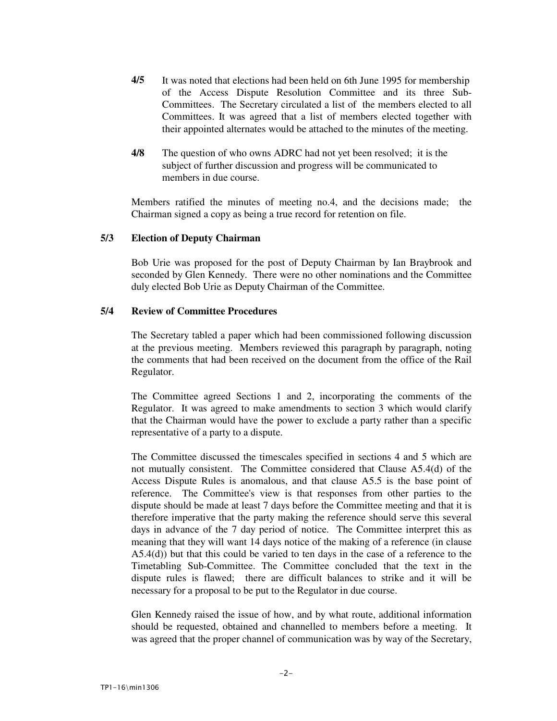- **4/5** It was noted that elections had been held on 6th June 1995 for membership of the Access Dispute Resolution Committee and its three Sub-Committees. The Secretary circulated a list of the members elected to all Committees. It was agreed that a list of members elected together with their appointed alternates would be attached to the minutes of the meeting.
- **4/8** The question of who owns ADRC had not yet been resolved; it is the subject of further discussion and progress will be communicated to members in due course.

Members ratified the minutes of meeting no.4, and the decisions made; the Chairman signed a copy as being a true record for retention on file.

### **5/3 Election of Deputy Chairman**

Bob Urie was proposed for the post of Deputy Chairman by Ian Braybrook and seconded by Glen Kennedy. There were no other nominations and the Committee duly elected Bob Urie as Deputy Chairman of the Committee.

### **5/4 Review of Committee Procedures**

The Secretary tabled a paper which had been commissioned following discussion at the previous meeting. Members reviewed this paragraph by paragraph, noting the comments that had been received on the document from the office of the Rail Regulator.

The Committee agreed Sections 1 and 2, incorporating the comments of the Regulator. It was agreed to make amendments to section 3 which would clarify that the Chairman would have the power to exclude a party rather than a specific representative of a party to a dispute.

The Committee discussed the timescales specified in sections 4 and 5 which are not mutually consistent. The Committee considered that Clause A5.4(d) of the Access Dispute Rules is anomalous, and that clause A5.5 is the base point of reference. The Committee's view is that responses from other parties to the dispute should be made at least 7 days before the Committee meeting and that it is therefore imperative that the party making the reference should serve this several days in advance of the 7 day period of notice. The Committee interpret this as meaning that they will want 14 days notice of the making of a reference (in clause A5.4(d)) but that this could be varied to ten days in the case of a reference to the Timetabling Sub-Committee. The Committee concluded that the text in the dispute rules is flawed; there are difficult balances to strike and it will be necessary for a proposal to be put to the Regulator in due course.

Glen Kennedy raised the issue of how, and by what route, additional information should be requested, obtained and channelled to members before a meeting. It was agreed that the proper channel of communication was by way of the Secretary,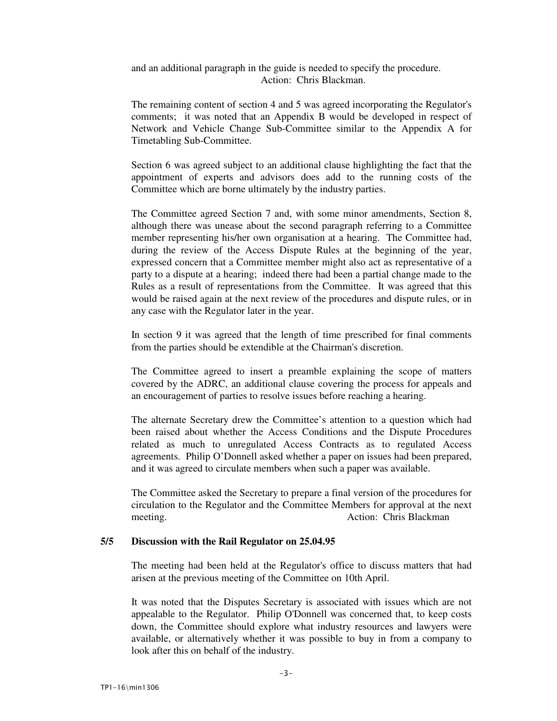and an additional paragraph in the guide is needed to specify the procedure. Action: Chris Blackman.

The remaining content of section 4 and 5 was agreed incorporating the Regulator's comments; it was noted that an Appendix B would be developed in respect of Network and Vehicle Change Sub-Committee similar to the Appendix A for Timetabling Sub-Committee.

Section 6 was agreed subject to an additional clause highlighting the fact that the appointment of experts and advisors does add to the running costs of the Committee which are borne ultimately by the industry parties.

The Committee agreed Section 7 and, with some minor amendments, Section 8, although there was unease about the second paragraph referring to a Committee member representing his/her own organisation at a hearing. The Committee had, during the review of the Access Dispute Rules at the beginning of the year, expressed concern that a Committee member might also act as representative of a party to a dispute at a hearing; indeed there had been a partial change made to the Rules as a result of representations from the Committee. It was agreed that this would be raised again at the next review of the procedures and dispute rules, or in any case with the Regulator later in the year.

In section 9 it was agreed that the length of time prescribed for final comments from the parties should be extendible at the Chairman's discretion.

The Committee agreed to insert a preamble explaining the scope of matters covered by the ADRC, an additional clause covering the process for appeals and an encouragement of parties to resolve issues before reaching a hearing.

The alternate Secretary drew the Committee's attention to a question which had been raised about whether the Access Conditions and the Dispute Procedures related as much to unregulated Access Contracts as to regulated Access agreements. Philip O'Donnell asked whether a paper on issues had been prepared, and it was agreed to circulate members when such a paper was available.

The Committee asked the Secretary to prepare a final version of the procedures for circulation to the Regulator and the Committee Members for approval at the next meeting. Action: Chris Blackman

## **5/5 Discussion with the Rail Regulator on 25.04.95**

The meeting had been held at the Regulator's office to discuss matters that had arisen at the previous meeting of the Committee on 10th April.

It was noted that the Disputes Secretary is associated with issues which are not appealable to the Regulator. Philip O'Donnell was concerned that, to keep costs down, the Committee should explore what industry resources and lawyers were available, or alternatively whether it was possible to buy in from a company to look after this on behalf of the industry.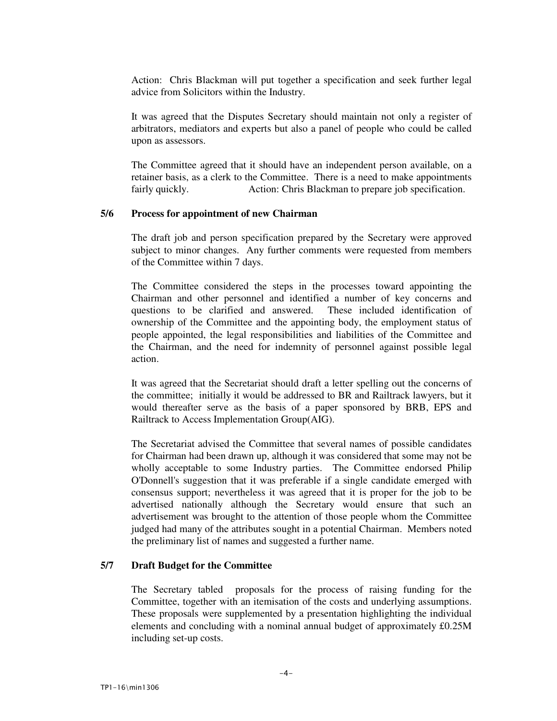Action: Chris Blackman will put together a specification and seek further legal advice from Solicitors within the Industry.

It was agreed that the Disputes Secretary should maintain not only a register of arbitrators, mediators and experts but also a panel of people who could be called upon as assessors.

The Committee agreed that it should have an independent person available, on a retainer basis, as a clerk to the Committee. There is a need to make appointments fairly quickly. Action: Chris Blackman to prepare job specification.

### **5/6 Process for appointment of new Chairman**

The draft job and person specification prepared by the Secretary were approved subject to minor changes. Any further comments were requested from members of the Committee within 7 days.

The Committee considered the steps in the processes toward appointing the Chairman and other personnel and identified a number of key concerns and questions to be clarified and answered. These included identification of ownership of the Committee and the appointing body, the employment status of people appointed, the legal responsibilities and liabilities of the Committee and the Chairman, and the need for indemnity of personnel against possible legal action.

It was agreed that the Secretariat should draft a letter spelling out the concerns of the committee; initially it would be addressed to BR and Railtrack lawyers, but it would thereafter serve as the basis of a paper sponsored by BRB, EPS and Railtrack to Access Implementation Group(AIG).

The Secretariat advised the Committee that several names of possible candidates for Chairman had been drawn up, although it was considered that some may not be wholly acceptable to some Industry parties. The Committee endorsed Philip O'Donnell's suggestion that it was preferable if a single candidate emerged with consensus support; nevertheless it was agreed that it is proper for the job to be advertised nationally although the Secretary would ensure that such an advertisement was brought to the attention of those people whom the Committee judged had many of the attributes sought in a potential Chairman. Members noted the preliminary list of names and suggested a further name.

# **5/7 Draft Budget for the Committee**

The Secretary tabled proposals for the process of raising funding for the Committee, together with an itemisation of the costs and underlying assumptions. These proposals were supplemented by a presentation highlighting the individual elements and concluding with a nominal annual budget of approximately £0.25M including set-up costs.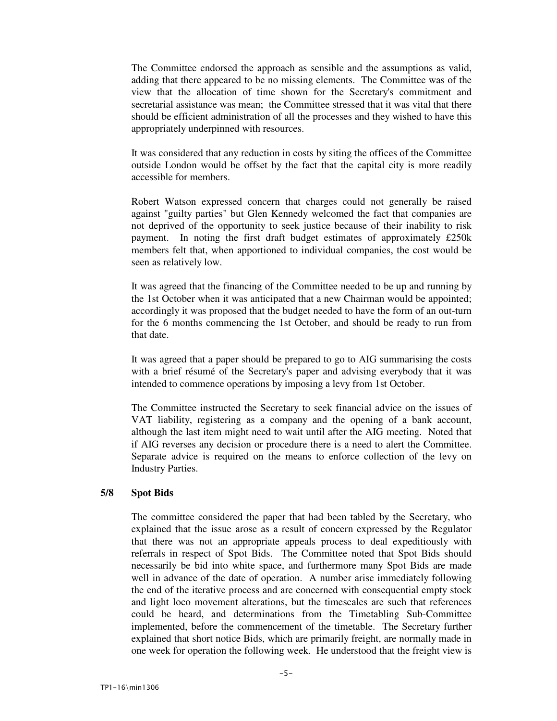The Committee endorsed the approach as sensible and the assumptions as valid, adding that there appeared to be no missing elements. The Committee was of the view that the allocation of time shown for the Secretary's commitment and secretarial assistance was mean; the Committee stressed that it was vital that there should be efficient administration of all the processes and they wished to have this appropriately underpinned with resources.

It was considered that any reduction in costs by siting the offices of the Committee outside London would be offset by the fact that the capital city is more readily accessible for members.

Robert Watson expressed concern that charges could not generally be raised against "guilty parties" but Glen Kennedy welcomed the fact that companies are not deprived of the opportunity to seek justice because of their inability to risk payment. In noting the first draft budget estimates of approximately £250k members felt that, when apportioned to individual companies, the cost would be seen as relatively low.

It was agreed that the financing of the Committee needed to be up and running by the 1st October when it was anticipated that a new Chairman would be appointed; accordingly it was proposed that the budget needed to have the form of an out-turn for the 6 months commencing the 1st October, and should be ready to run from that date.

It was agreed that a paper should be prepared to go to AIG summarising the costs with a brief résumé of the Secretary's paper and advising everybody that it was intended to commence operations by imposing a levy from 1st October.

The Committee instructed the Secretary to seek financial advice on the issues of VAT liability, registering as a company and the opening of a bank account, although the last item might need to wait until after the AIG meeting. Noted that if AIG reverses any decision or procedure there is a need to alert the Committee. Separate advice is required on the means to enforce collection of the levy on Industry Parties.

#### **5/8 Spot Bids**

The committee considered the paper that had been tabled by the Secretary, who explained that the issue arose as a result of concern expressed by the Regulator that there was not an appropriate appeals process to deal expeditiously with referrals in respect of Spot Bids. The Committee noted that Spot Bids should necessarily be bid into white space, and furthermore many Spot Bids are made well in advance of the date of operation. A number arise immediately following the end of the iterative process and are concerned with consequential empty stock and light loco movement alterations, but the timescales are such that references could be heard, and determinations from the Timetabling Sub-Committee implemented, before the commencement of the timetable. The Secretary further explained that short notice Bids, which are primarily freight, are normally made in one week for operation the following week. He understood that the freight view is